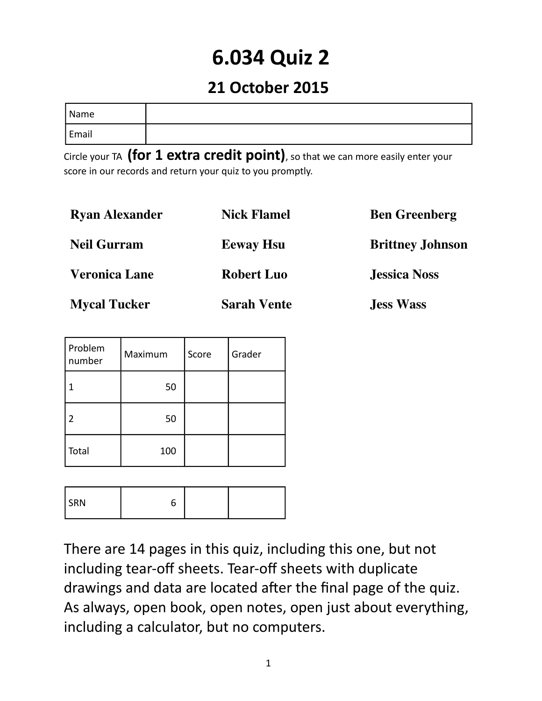# **6.034 Quiz 2**

### **21 October 2015**

| Name  |  |
|-------|--|
| Email |  |

Circle your TA **(for 1 extra credit point)**, so that we can more easily enter your score in our records and return your quiz to you promptly.

| <b>Ryan Alexander</b> | <b>Nick Flamel</b> | <b>Ben Greenberg</b>    |
|-----------------------|--------------------|-------------------------|
| <b>Neil Gurram</b>    | <b>Eeway Hsu</b>   | <b>Brittney Johnson</b> |
| <b>Veronica Lane</b>  | <b>Robert Luo</b>  | <b>Jessica Noss</b>     |
| <b>Mycal Tucker</b>   | <b>Sarah Vente</b> | <b>Jess Wass</b>        |

| Problem<br>number | Maximum | Score | Grader |
|-------------------|---------|-------|--------|
|                   | 50      |       |        |
| $\overline{2}$    | 50      |       |        |
| Total             | 100     |       |        |

| DNI<br>. |  |  |
|----------|--|--|
|          |  |  |

There are 14 pages in this quiz, including this one, but not including tear-off sheets. Tear-off sheets with duplicate drawings and data are located after the final page of the quiz. As always, open book, open notes, open just about everything, including a calculator, but no computers.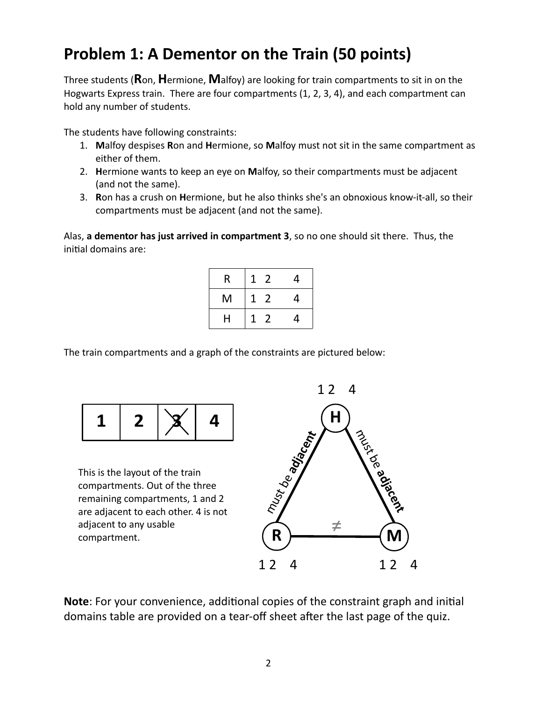### **Problem 1: A Dementor on the Train (50 points)**

Three students (**R**on, **H**ermione, **M**alfoy) are looking for train compartments to sit in on the Hogwarts Express train. There are four compartments (1, 2, 3, 4), and each compartment can hold any number of students.

The students have following constraints:

- 1. **M**alfoy despises **R**on and **H**ermione, so **M**alfoy must not sit in the same compartment as either of them.
- 2. **H**ermione wants to keep an eye on **M**alfoy, so their compartments must be adjacent (and not the same).
- 3. **R**on has a crush on **H**ermione, but he also thinks she's an obnoxious know-it-all, so their compartments must be adjacent (and not the same).

Alas, **a dementor has just arrived in compartment 3**, so no one should sit there. Thus, the initial domains are:

| R | 2<br>1 | 4 |
|---|--------|---|
| M | 2<br>1 | 4 |
| Н | 2<br>1 | 4 |

The train compartments and a graph of the constraints are pictured below:



This is the layout of the train compartments. Out of the three remaining compartments, 1 and 2 are adjacent to each other. 4 is not adjacent to any usable compartment.



**Note**: For your convenience, additional copies of the constraint graph and initial domains table are provided on a tear-off sheet after the last page of the quiz.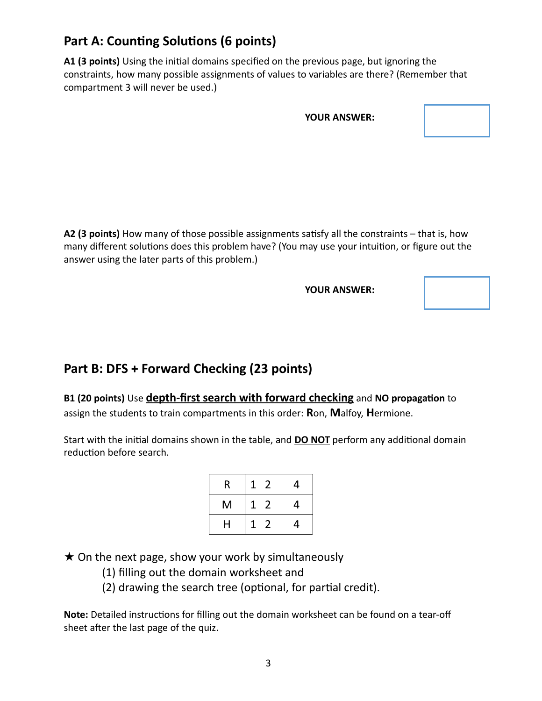### **Part A: Counting Solutions (6 points)**

**A1 (3 points)** Using the initial domains specified on the previous page, but ignoring the constraints, how many possible assignments of values to variables are there? (Remember that compartment 3 will never be used.)

|  | <b>YOUR ANSWER:</b> |
|--|---------------------|
|--|---------------------|

**A2 (3 points)** How many of those possible assignments satisfy all the constraints – that is, how many different solutions does this problem have? (You may use your intuition, or figure out the answer using the later parts of this problem.)

**YOUR ANSWER:**

#### **Part B: DFS + Forward Checking (23 points)**

**B1 (20 points)** Use **depth-first search with forward checking** and **NO propagation** to assign the students to train compartments in this order: **R**on, **M**alfoy, **H**ermione.

Start with the initial domains shown in the table, and **DO NOT** perform any additional domain reduction before search.

| R | $\overline{2}$<br>1 | 4 |
|---|---------------------|---|
| M | $\overline{2}$<br>1 | 4 |
| Н | $\overline{2}$<br>1 | 4 |

 $\star$  On the next page, show your work by simultaneously

- (1) filling out the domain worksheet and
- (2) drawing the search tree (optional, for partial credit).

**Note:** Detailed instructions for filling out the domain worksheet can be found on a tear-off sheet after the last page of the quiz.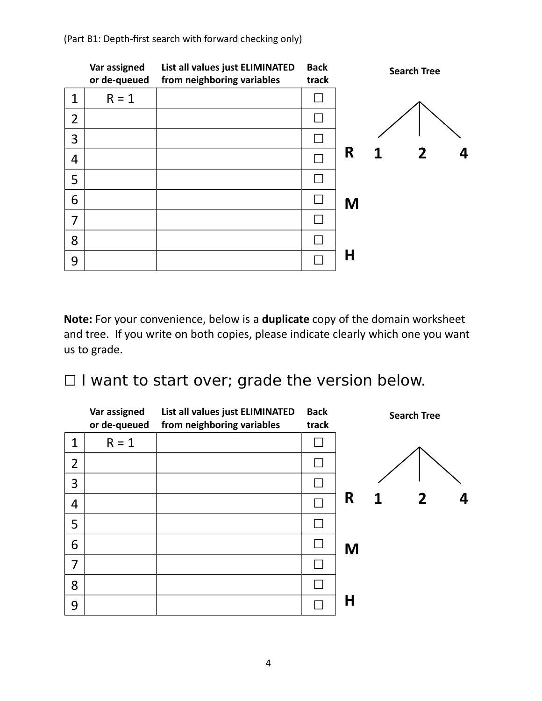|                | Var assigned<br>or de-queued | List all values just ELIMINATED<br>from neighboring variables | <b>Back</b><br>track |   | <b>Search Tree</b> |
|----------------|------------------------------|---------------------------------------------------------------|----------------------|---|--------------------|
| 1              | $R = 1$                      |                                                               |                      |   |                    |
| $\overline{2}$ |                              |                                                               |                      |   |                    |
| 3              |                              |                                                               |                      |   |                    |
| $\overline{4}$ |                              |                                                               |                      | R | $\overline{2}$     |
| 5              |                              |                                                               |                      |   |                    |
| 6              |                              |                                                               |                      | M |                    |
| 7              |                              |                                                               |                      |   |                    |
| 8              |                              |                                                               |                      |   |                    |
| 9              |                              |                                                               |                      | Η |                    |

(Part B1: Depth-first search with forward checking only)

**Note:** For your convenience, below is a **duplicate** copy of the domain worksheet and tree. If you write on both copies, please indicate clearly which one you want us to grade.

□ I want to start over; grade the version below.

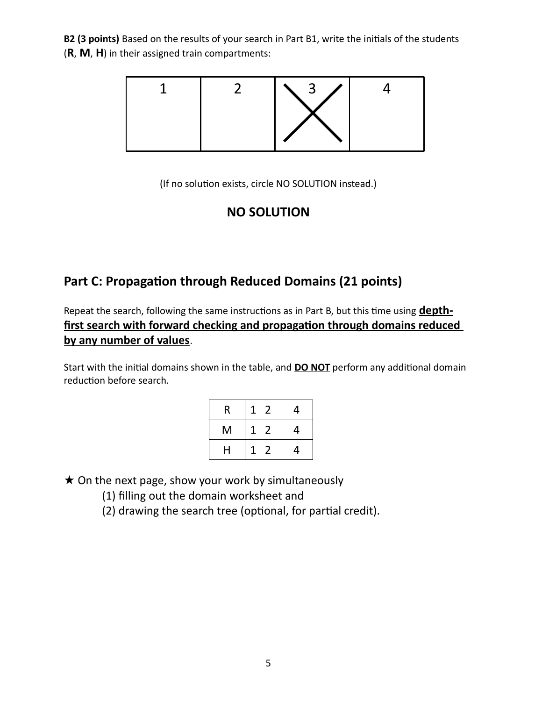**B2 (3 points)** Based on the results of your search in Part B1, write the initials of the students (**R**, **M**, **H**) in their assigned train compartments:



(If no solution exists, circle NO SOLUTION instead.)

#### **NO SOLUTION**

### **Part C: Propagation through Reduced Domains (21 points)**

Repeat the search, following the same instructions as in Part B, but this time using **depthfirst search with forward checking and propagation through domains reduced by any number of values**.

Start with the initial domains shown in the table, and **DO NOT** perform any additional domain reduction before search.

| R | 2      | 4 |
|---|--------|---|
| M | 2<br>1 | 4 |
| H | 2      | 4 |

 $\star$  On the next page, show your work by simultaneously

- (1) filling out the domain worksheet and
- (2) drawing the search tree (optional, for partial credit).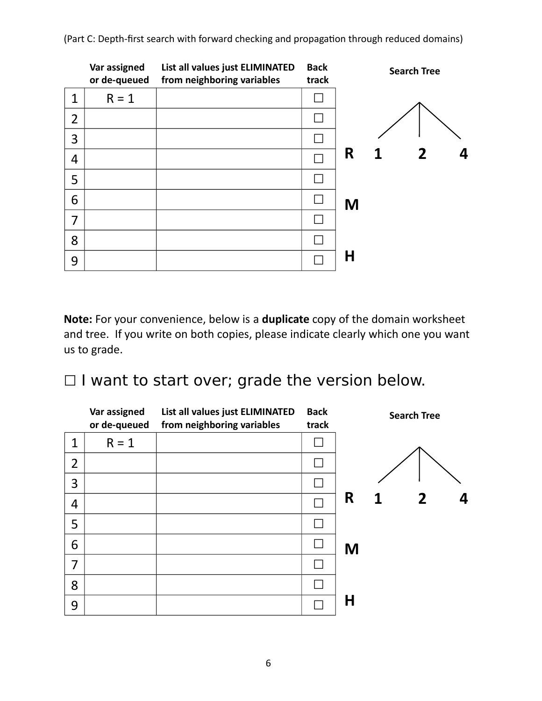**R M H 1 2 4 Var assigned or de-queued List all values just ELIMINATED from neighboring variables Back track**  $1 \mid R = 1 \mid$  $2$   $\Box$ 3 │ │ □ 4 │ │ □ 5 │ │ □ 6 │ │ □ 7 ☐ 8 │ │ □ 9 │ □ **Search Tree**

(Part C: Depth-first search with forward checking and propagation through reduced domains)

**Note:** For your convenience, below is a **duplicate** copy of the domain worksheet and tree. If you write on both copies, please indicate clearly which one you want us to grade.

□ I want to start over; grade the version below.

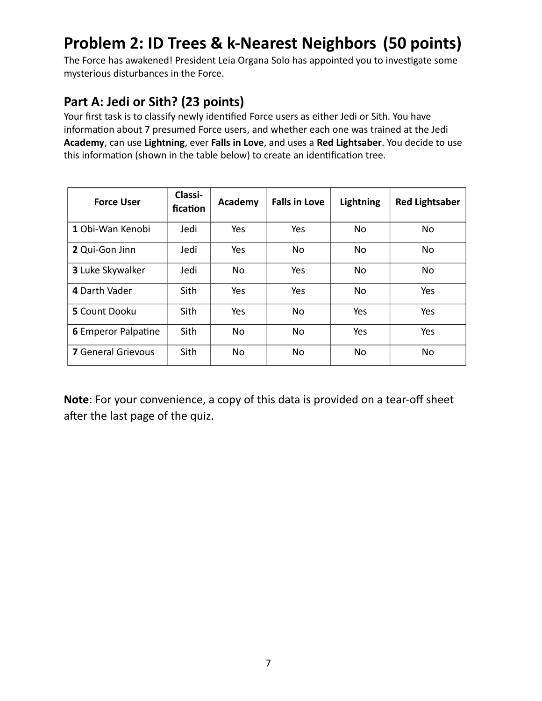## **Problem 2: ID Trees & k-Nearest Neighbors (50 points)**

The Force has awakened! President Leia Organa Solo has appointed you to investigate some mysterious disturbances in the Force.

### **Part A: Jedi or Sith? (23 points)**

Your first task is to classify newly identified Force users as either Jedi or Sith. You have information about 7 presumed Force users, and whether each one was trained at the Jedi **Academy**, can use **Lightning**, ever **Falls in Love**, and uses a **Red Lightsaber**. You decide to use this information (shown in the table below) to create an identification tree.

| <b>Force User</b>          | Classi-<br>fication | Academy        | <b>Falls in Love</b> | Lightning  | <b>Red Lightsaber</b> |
|----------------------------|---------------------|----------------|----------------------|------------|-----------------------|
| 1 Obi-Wan Kenobi           | Jedi                | Yes            | Yes                  | <b>No</b>  | No                    |
| 2 Qui-Gon Jinn             | Jedi                | Yes            | No.                  | <b>No</b>  | <b>No</b>             |
| 3 Luke Skywalker           | Jedi                | N <sub>o</sub> | Yes                  | <b>No</b>  | N <sub>o</sub>        |
| 4 Darth Vader              | Sith                | Yes            | Yes                  | <b>No</b>  | Yes                   |
| 5 Count Dooku              | Sith                | Yes            | No.                  | <b>Yes</b> | Yes                   |
| <b>6</b> Emperor Palpatine | Sith                | N <sub>o</sub> | No.                  | Yes        | Yes                   |
| <b>7</b> General Grievous  | Sith                | No             | <b>No</b>            | <b>No</b>  | <b>No</b>             |

**Note**: For your convenience, a copy of this data is provided on a tear-off sheet after the last page of the quiz.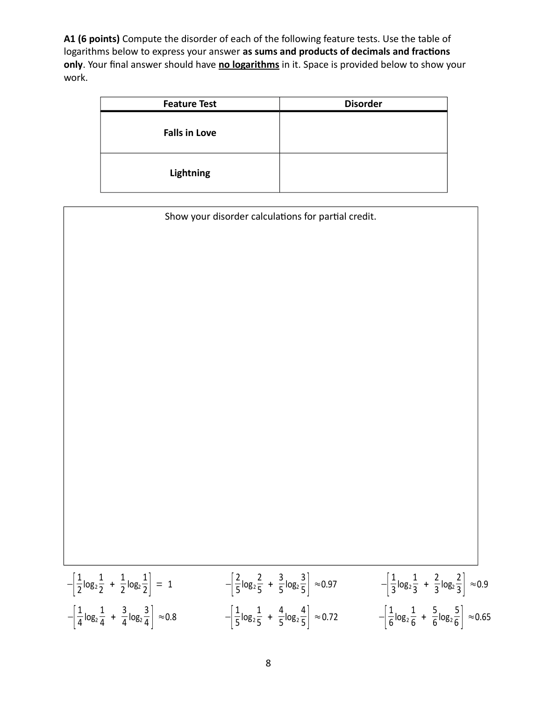**A1 (6 points)** Compute the disorder of each of the following feature tests. Use the table of logarithms below to express your answer **as sums and products of decimals and fractions only**. Your final answer should have **no logarithms** in it. Space is provided below to show your work.

| <b>Feature Test</b>  | <b>Disorder</b> |
|----------------------|-----------------|
| <b>Falls in Love</b> |                 |
| <b>Lightning</b>     |                 |

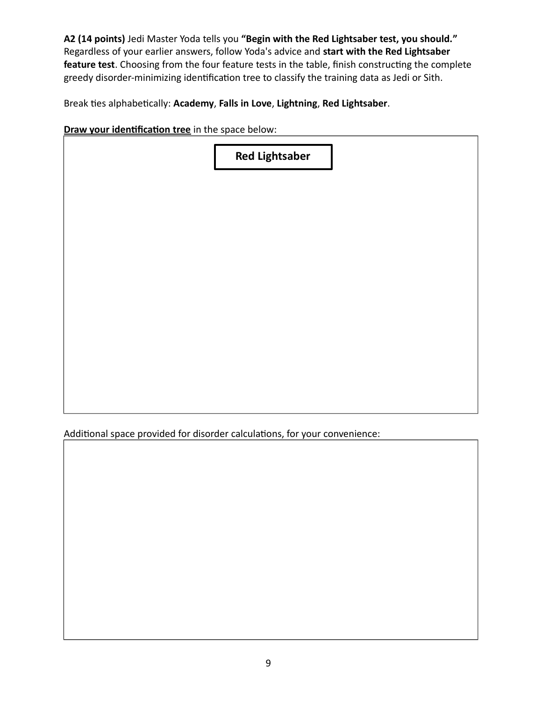**A2 (14 points)** Jedi Master Yoda tells you **"Begin with the Red Lightsaber test, you should."** Regardless of your earlier answers, follow Yoda's advice and **start with the Red Lightsaber feature test**. Choosing from the four feature tests in the table, finish constructing the complete greedy disorder-minimizing identification tree to classify the training data as Jedi or Sith.

Break ties alphabetically: **Academy**, **Falls in Love**, **Lightning**, **Red Lightsaber**.

**Draw your identification tree** in the space below:

| <b>Red Lightsaber</b> |
|-----------------------|
|                       |
|                       |
|                       |
|                       |
|                       |
|                       |
|                       |

Additional space provided for disorder calculations, for your convenience: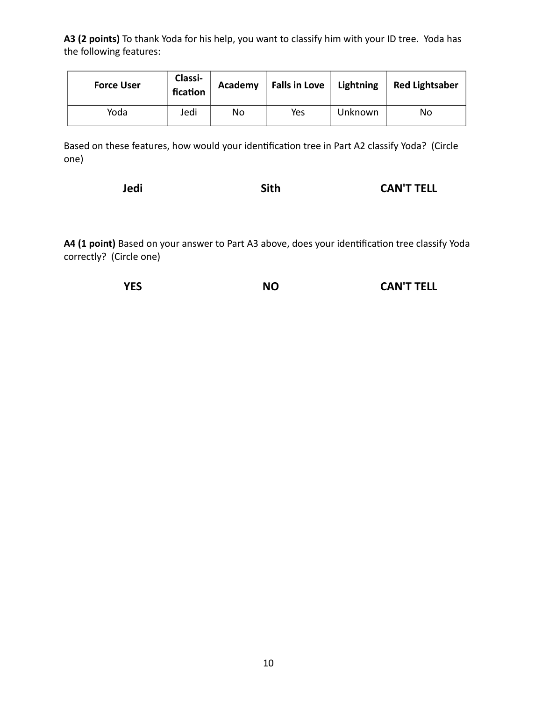**A3 (2 points)** To thank Yoda for his help, you want to classify him with your ID tree. Yoda has the following features:

| <b>Force User</b> | Classi-<br>fication | Academy | Falls in Love   Lightning |         | <b>Red Lightsaber</b> |
|-------------------|---------------------|---------|---------------------------|---------|-----------------------|
| Yoda              | Jedi                | No      | Yes                       | Unknown | No                    |

Based on these features, how would your identification tree in Part A2 classify Yoda? (Circle one)

| Jedi | Sith | <b>CAN'T TELL</b> |
|------|------|-------------------|
|------|------|-------------------|

**A4 (1 point)** Based on your answer to Part A3 above, does your identification tree classify Yoda correctly? (Circle one)

| <b>YES</b><br><b>NO</b> | <b>CAN'T TELL</b> |
|-------------------------|-------------------|
|-------------------------|-------------------|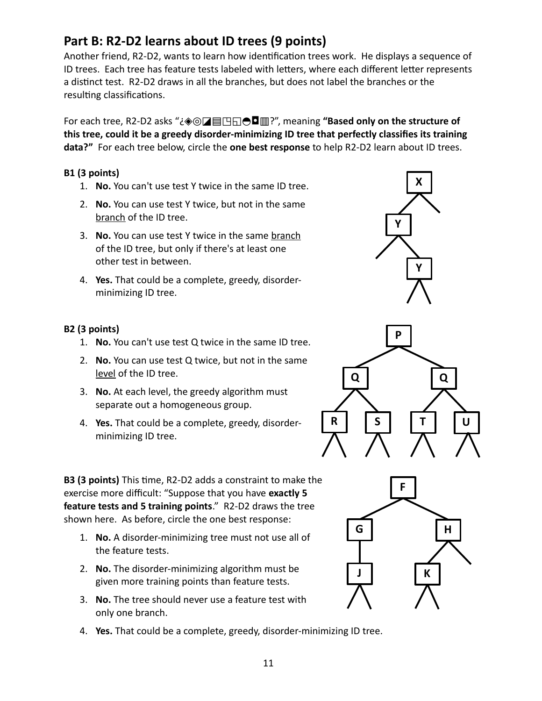#### 11

### **Part B: R2-D2 learns about ID trees (9 points)**

Another friend, R2-D2, wants to learn how identification trees work. He displays a sequence of ID trees. Each tree has feature tests labeled with letters, where each different letter represents a distinct test. R2-D2 draws in all the branches, but does not label the branches or the resulting classifications.

For each tree, R2-D2 asks "¿◈◎◪▤◳◱◓◘▥?", meaning **"Based only on the structure of this tree, could it be a greedy disorder-minimizing ID tree that perfectly classifies its training data?"** For each tree below, circle the **one best response** to help R2-D2 learn about ID trees.

#### **B1 (3 points)**

- 1. **No.** You can't use test Y twice in the same ID tree.
- 2. **No.** You can use test Y twice, but not in the same branch of the ID tree.
- 3. **No.** You can use test Y twice in the same branch of the ID tree, but only if there's at least one other test in between.
- 4. **Yes.** That could be a complete, greedy, disorderminimizing ID tree.

#### **B2 (3 points)**

- 1. **No.** You can't use test Q twice in the same ID tree.
- 2. **No.** You can use test Q twice, but not in the same level of the ID tree.
- 3. **No.** At each level, the greedy algorithm must separate out a homogeneous group.
- 4. **Yes.** That could be a complete, greedy, disorderminimizing ID tree.

**B3 (3 points)** This time, R2-D2 adds a constraint to make the exercise more difficult: "Suppose that you have **exactly 5 feature tests and 5 training points**." R2-D2 draws the tree shown here. As before, circle the one best response:

- 1. **No.** A disorder-minimizing tree must not use all of the feature tests.
- 2. **No.** The disorder-minimizing algorithm must be given more training points than feature tests.
- 3. **No.** The tree should never use a feature test with only one branch.
- 4. **Yes.** That could be a complete, greedy, disorder-minimizing ID tree.



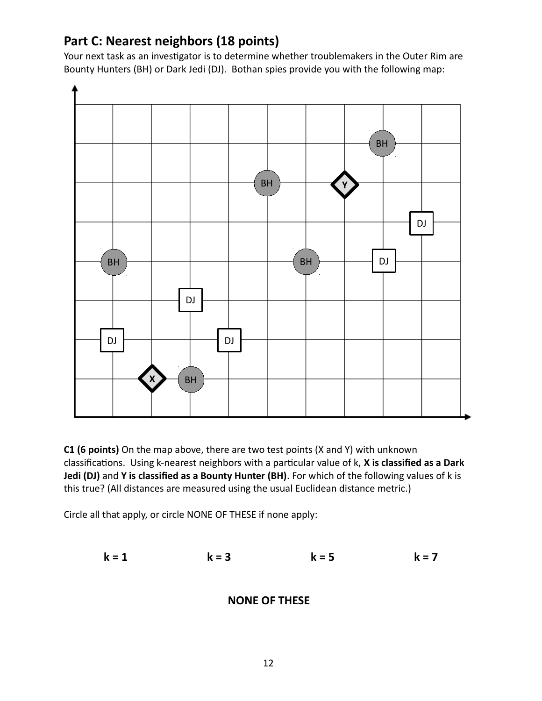#### **Part C: Nearest neighbors (18 points)**

Your next task as an investigator is to determine whether troublemakers in the Outer Rim are Bounty Hunters (BH) or Dark Jedi (DJ). Bothan spies provide you with the following map:



**C1 (6 points)** On the map above, there are two test points (X and Y) with unknown classifications. Using k-nearest neighbors with a particular value of k, **X is classified as a Dark Jedi (DJ)** and **Y is classified as a Bounty Hunter (BH)**. For which of the following values of k is this true? (All distances are measured using the usual Euclidean distance metric.)

Circle all that apply, or circle NONE OF THESE if none apply:

$$
k = 1
$$
  $k = 3$   $k = 5$   $k = 7$ 

#### **NONE OF THESE**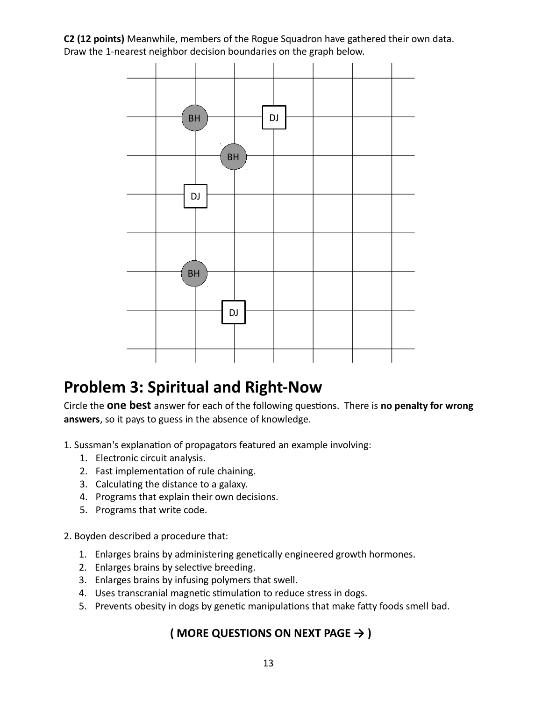**C2 (12 points)** Meanwhile, members of the Rogue Squadron have gathered their own data. Draw the 1-nearest neighbor decision boundaries on the graph below.



### **Problem 3: Spiritual and Right-Now**

Circle the **one best** answer for each of the following questions. There is **no penalty for wrong answers**, so it pays to guess in the absence of knowledge.

- 1. Sussman's explanation of propagators featured an example involving:
	- 1. Electronic circuit analysis.
	- 2. Fast implementation of rule chaining.
	- 3. Calculating the distance to a galaxy.
	- 4. Programs that explain their own decisions.
	- 5. Programs that write code.
- 2. Boyden described a procedure that:
	- 1. Enlarges brains by administering genetically engineered growth hormones.
	- 2. Enlarges brains by selective breeding.
	- 3. Enlarges brains by infusing polymers that swell.
	- 4. Uses transcranial magnetic stimulation to reduce stress in dogs.
	- 5. Prevents obesity in dogs by genetic manipulations that make fatty foods smell bad.

#### **( MORE QUESTIONS ON NEXT PAGE → )**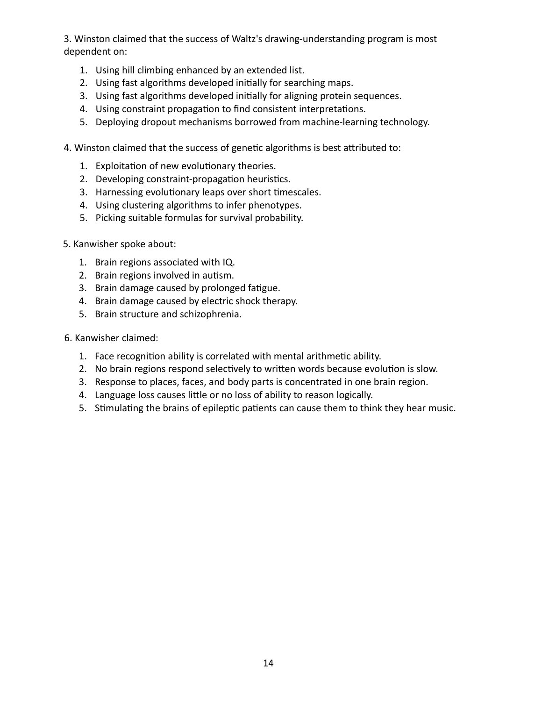3. Winston claimed that the success of Waltz's drawing-understanding program is most dependent on:

- 1. Using hill climbing enhanced by an extended list.
- 2. Using fast algorithms developed initially for searching maps.
- 3. Using fast algorithms developed initially for aligning protein sequences.
- 4. Using constraint propagation to find consistent interpretations.
- 5. Deploying dropout mechanisms borrowed from machine-learning technology.
- 4. Winston claimed that the success of genetic algorithms is best attributed to:
	- 1. Exploitation of new evolutionary theories.
	- 2. Developing constraint-propagation heuristics.
	- 3. Harnessing evolutionary leaps over short timescales.
	- 4. Using clustering algorithms to infer phenotypes.
	- 5. Picking suitable formulas for survival probability.
- 5. Kanwisher spoke about:
	- 1. Brain regions associated with IQ.
	- 2. Brain regions involved in autism.
	- 3. Brain damage caused by prolonged fatigue.
	- 4. Brain damage caused by electric shock therapy.
	- 5. Brain structure and schizophrenia.
- 6. Kanwisher claimed:
	- 1. Face recognition ability is correlated with mental arithmetic ability.
	- 2. No brain regions respond selectively to written words because evolution is slow.
	- 3. Response to places, faces, and body parts is concentrated in one brain region.
	- 4. Language loss causes little or no loss of ability to reason logically.
	- 5. Stimulating the brains of epileptic patients can cause them to think they hear music.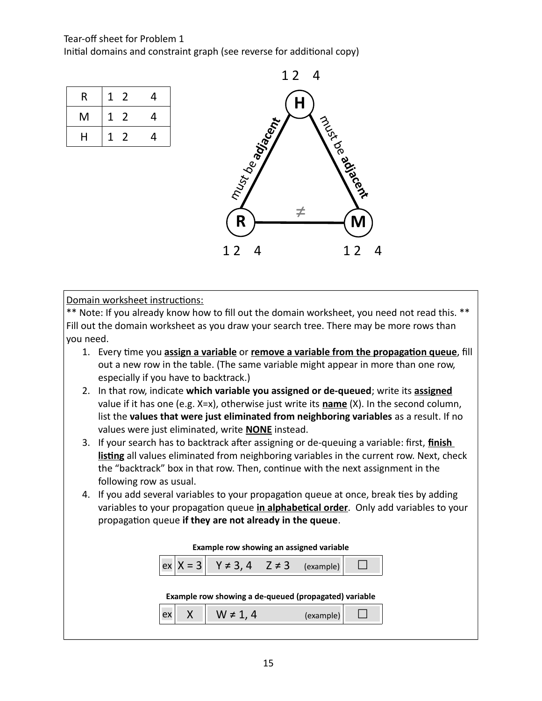#### Tear-off sheet for Problem 1

Initial domains and constraint graph (see reverse for additional copy)

| R | 1            | 2 | 4 |
|---|--------------|---|---|
| M | $\mathbf{1}$ | 2 | 4 |
| Н | Τ            | 2 | 4 |



Domain worksheet instructions:

\*\* Note: If you already know how to fill out the domain worksheet, you need not read this. \*\* Fill out the domain worksheet as you draw your search tree. There may be more rows than you need.

- 1. Every time you **assign a variable** or **remove a variable from the propagation queue**, fill out a new row in the table. (The same variable might appear in more than one row, especially if you have to backtrack.)
- 2. In that row, indicate **which variable you assigned or de-queued**; write its **assigned** value if it has one (e.g. X=x), otherwise just write its **name** (X). In the second column, list the **values that were just eliminated from neighboring variables** as a result. If no values were just eliminated, write **NONE** instead.
- 3. If your search has to backtrack after assigning or de-queuing a variable: first, **finish listing** all values eliminated from neighboring variables in the current row. Next, check the "backtrack" box in that row. Then, continue with the next assignment in the following row as usual.
- 4. If you add several variables to your propagation queue at once, break ties by adding variables to your propagation queue **in alphabetical order**. Only add variables to your propagation queue **if they are not already in the queue**.

| Example row showing an assigned variable |  |  |  |
|------------------------------------------|--|--|--|
|                                          |  |  |  |

|--|--|

#### **Example row showing a de-queued (propagated) variable**

|--|--|--|